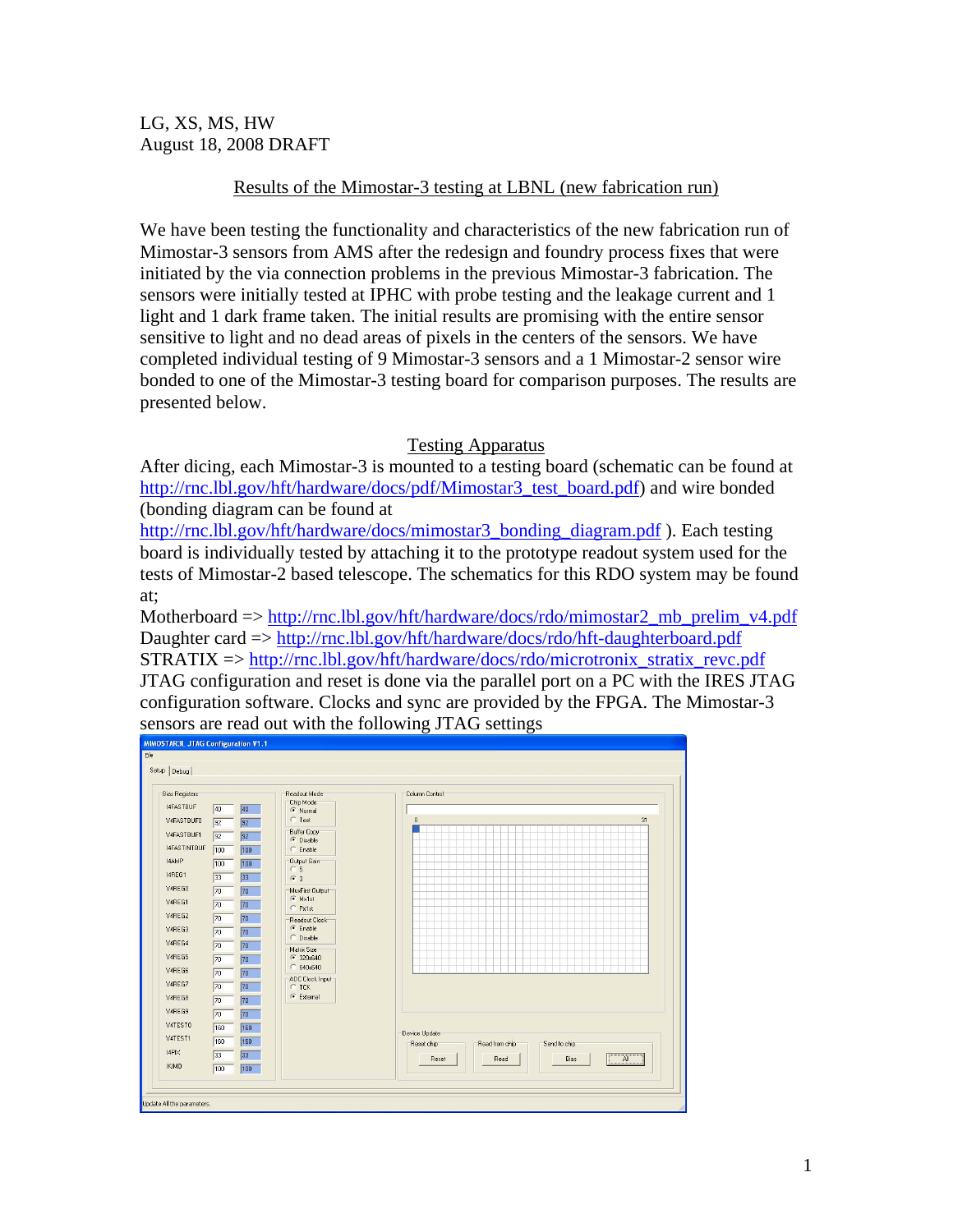LG, XS, MS, HW August 18, 2008 DRAFT

## Results of the Mimostar-3 testing at LBNL (new fabrication run)

We have been testing the functionality and characteristics of the new fabrication run of Mimostar-3 sensors from AMS after the redesign and foundry process fixes that were initiated by the via connection problems in the previous Mimostar-3 fabrication. The sensors were initially tested at IPHC with probe testing and the leakage current and 1 light and 1 dark frame taken. The initial results are promising with the entire sensor sensitive to light and no dead areas of pixels in the centers of the sensors. We have completed individual testing of 9 Mimostar-3 sensors and a 1 Mimostar-2 sensor wire bonded to one of the Mimostar-3 testing board for comparison purposes. The results are presented below.

#### Testing Apparatus

After dicing, each Mimostar-3 is mounted to a testing board (schematic can be found at http://rnc.lbl.gov/hft/hardware/docs/pdf/Mimostar3\_test\_board.pdf) and wire bonded (bonding diagram can be found at

http://rnc.lbl.gov/hft/hardware/docs/mimostar3\_bonding\_diagram.pdf ). Each testing board is individually tested by attaching it to the prototype readout system used for the tests of Mimostar-2 based telescope. The schematics for this RDO system may be found at;

Motherboard => http://rnc.lbl.gov/hft/hardware/docs/rdo/mimostar2\_mb\_prelim\_v4.pdf Daughter card => http://rnc.lbl.gov/hft/hardware/docs/rdo/hft-daughterboard.pdf STRATIX => http://rnc.lbl.gov/hft/hardware/docs/rdo/microtronix\_stratix\_revc.pdf JTAG configuration and reset is done via the parallel port on a PC with the IRES JTAG configuration software. Clocks and sync are provided by the FPGA. The Mimostar-3 sensors are read out with the following JTAG settings

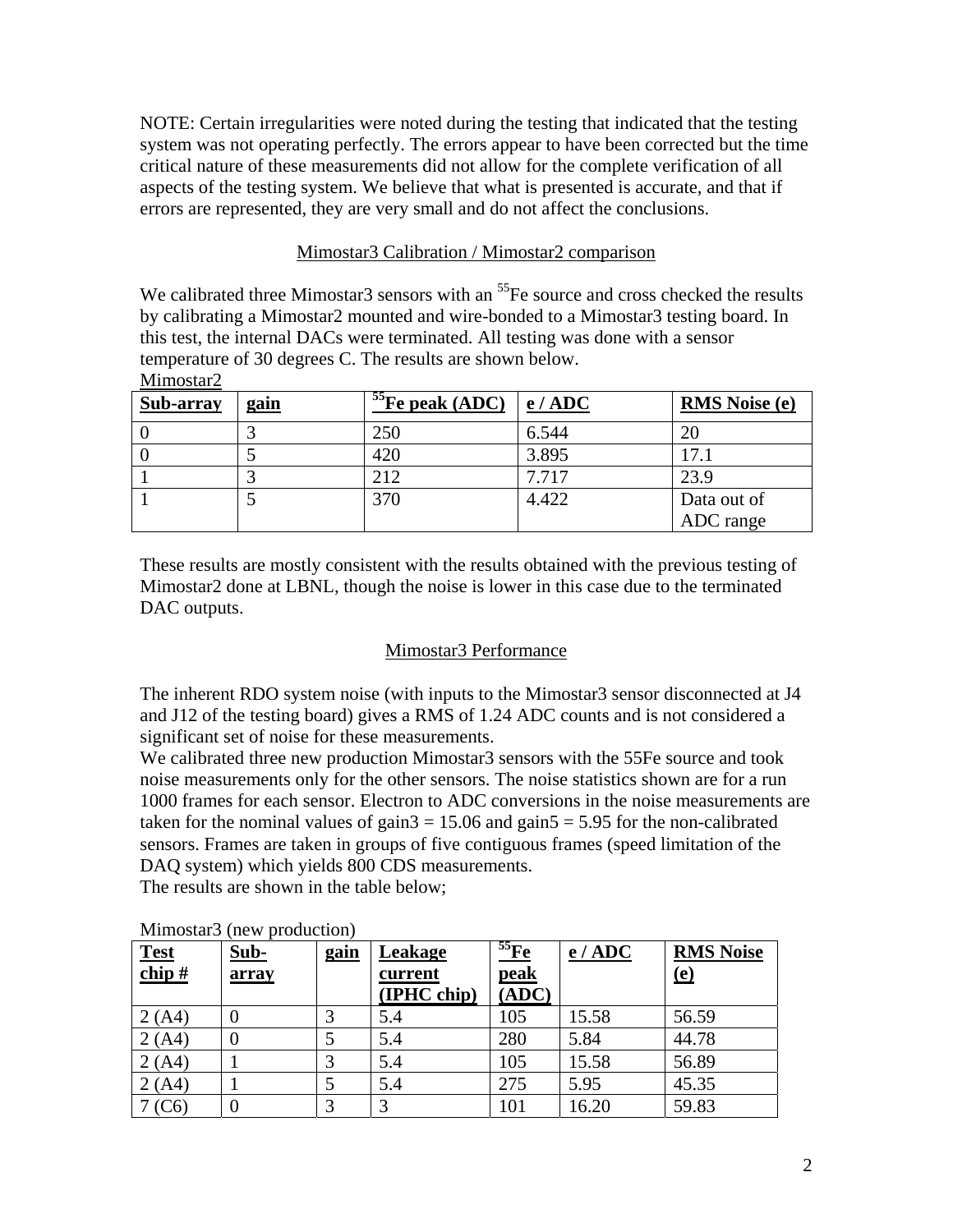NOTE: Certain irregularities were noted during the testing that indicated that the testing system was not operating perfectly. The errors appear to have been corrected but the time critical nature of these measurements did not allow for the complete verification of all aspects of the testing system. We believe that what is presented is accurate, and that if errors are represented, they are very small and do not affect the conclusions.

## Mimostar3 Calibration / Mimostar2 comparison

We calibrated three Mimostar3 sensors with an  $<sup>55</sup>Fe$  source and cross checked the results</sup> by calibrating a Mimostar2 mounted and wire-bonded to a Mimostar3 testing board. In this test, the internal DACs were terminated. All testing was done with a sensor temperature of 30 degrees C. The results are shown below. Mimostar<sub>2</sub>

| Sub-array | <u>gain</u> | $55$ Fe peak (ADC) | e/ADC | <b>RMS</b> Noise (e) |
|-----------|-------------|--------------------|-------|----------------------|
|           |             | 250                | 6.544 | 20                   |
|           |             | 420                | 3.895 | 17.1                 |
|           |             | 212                | 7.717 | 23.9                 |
|           |             | 370                | 4.422 | Data out of          |
|           |             |                    |       | ADC range            |

These results are mostly consistent with the results obtained with the previous testing of Mimostar2 done at LBNL, though the noise is lower in this case due to the terminated DAC outputs.

# Mimostar3 Performance

The inherent RDO system noise (with inputs to the Mimostar3 sensor disconnected at J4 and J12 of the testing board) gives a RMS of 1.24 ADC counts and is not considered a significant set of noise for these measurements.

We calibrated three new production Mimostar3 sensors with the 55Fe source and took noise measurements only for the other sensors. The noise statistics shown are for a run 1000 frames for each sensor. Electron to ADC conversions in the noise measurements are taken for the nominal values of gain $3 = 15.06$  and gain $5 = 5.95$  for the non-calibrated sensors. Frames are taken in groups of five contiguous frames (speed limitation of the DAQ system) which yields 800 CDS measurements.

The results are shown in the table below;

| <b>Test</b><br>chip $#$ | Sub-<br>array | <u>gain</u> | Leakage<br>current<br>(IPHC chip) | $\frac{55}{\text{Fe}}$<br><b>peak</b><br>(ADC) | e / ADC | <b>RMS Noise</b><br>(e) |
|-------------------------|---------------|-------------|-----------------------------------|------------------------------------------------|---------|-------------------------|
| 2(A4)                   |               |             | 5.4                               | 105                                            | 15.58   | 56.59                   |
| 2(A4)                   |               |             | 5.4                               | 280                                            | 5.84    | 44.78                   |
| 2(A4)                   |               |             | 5.4                               | 105                                            | 15.58   | 56.89                   |
| 2(A4)                   |               |             | 5.4                               | 275                                            | 5.95    | 45.35                   |
| (C6)                    |               |             |                                   | 101                                            | 16.20   | 59.83                   |

#### Mimostar3 (new production)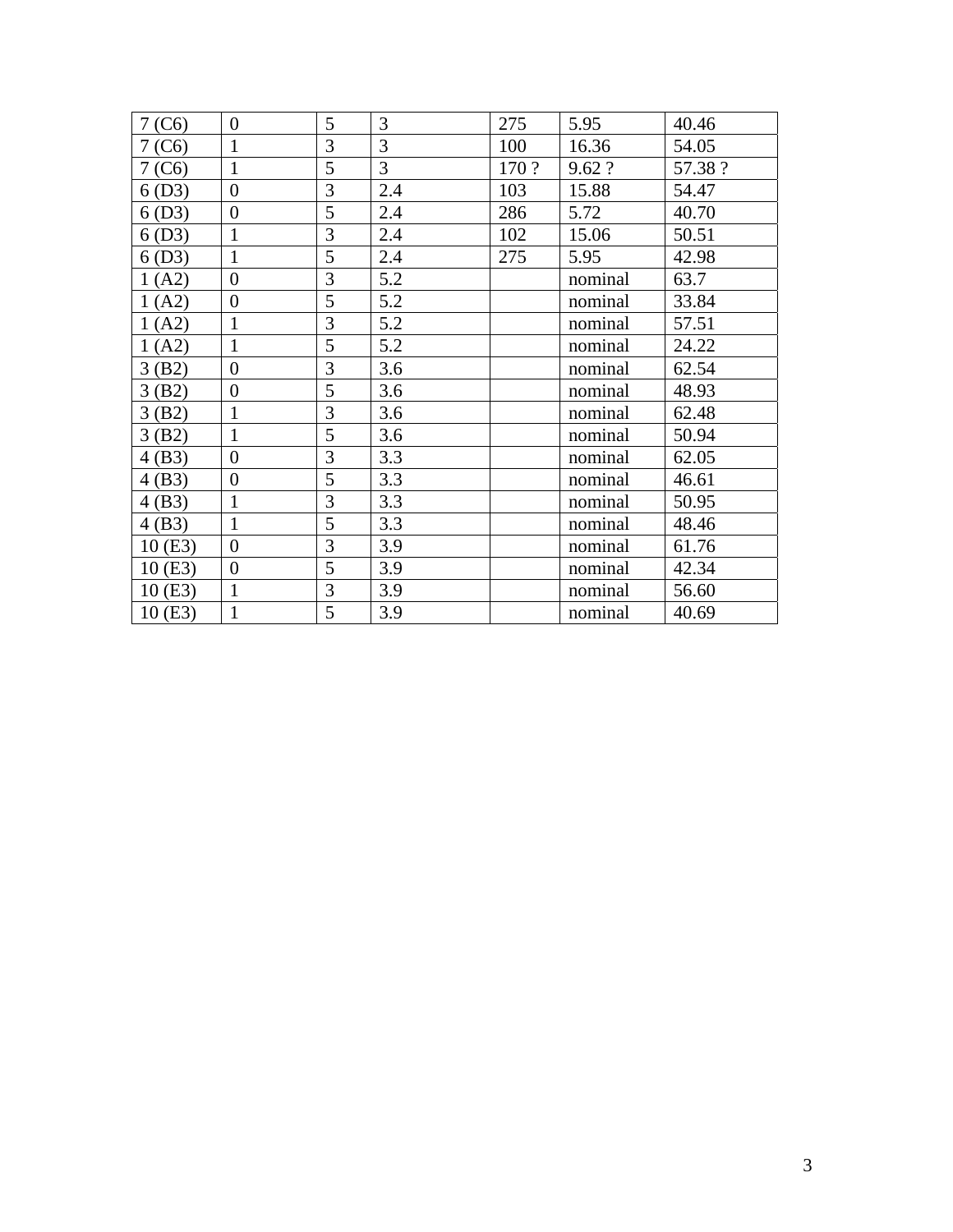| $7($ C6 $)$ | $\boldsymbol{0}$ | 5              | 3   | 275   | 5.95    | 40.46   |
|-------------|------------------|----------------|-----|-------|---------|---------|
| $7($ C6 $)$ | $\mathbf{1}$     | $\overline{3}$ | 3   | 100   | 16.36   | 54.05   |
| 7(C6)       | $\mathbf{1}$     | 5              | 3   | 170 ? | 9.62 ?  | 57.38 ? |
| 6(D3)       | $\boldsymbol{0}$ | 3              | 2.4 | 103   | 15.88   | 54.47   |
| 6(D3)       | $\overline{0}$   | 5              | 2.4 | 286   | 5.72    | 40.70   |
| 6(D3)       | $\mathbf{1}$     | 3              | 2.4 | 102   | 15.06   | 50.51   |
| 6(D3)       | $\mathbf{1}$     | 5              | 2.4 | 275   | 5.95    | 42.98   |
| 1(A2)       | $\boldsymbol{0}$ | 3              | 5.2 |       | nominal | 63.7    |
| 1(A2)       | $\boldsymbol{0}$ | 5              | 5.2 |       | nominal | 33.84   |
| 1(A2)       | $\mathbf{1}$     | $\overline{3}$ | 5.2 |       | nominal | 57.51   |
| 1(A2)       | $\mathbf{1}$     | 5              | 5.2 |       | nominal | 24.22   |
| 3(B2)       | $\boldsymbol{0}$ | 3              | 3.6 |       | nominal | 62.54   |
| 3(B2)       | $\boldsymbol{0}$ | 5              | 3.6 |       | nominal | 48.93   |
| 3(B2)       | $\mathbf{1}$     | 3              | 3.6 |       | nominal | 62.48   |
| 3(B2)       | $\mathbf{1}$     | 5              | 3.6 |       | nominal | 50.94   |
| 4(B3)       | $\boldsymbol{0}$ | 3              | 3.3 |       | nominal | 62.05   |
| 4(B3)       | $\boldsymbol{0}$ | 5              | 3.3 |       | nominal | 46.61   |
| 4(B3)       | $\mathbf{1}$     | 3              | 3.3 |       | nominal | 50.95   |
| 4(B3)       | $\mathbf{1}$     | 5              | 3.3 |       | nominal | 48.46   |
| 10(E3)      | $\overline{0}$   | 3              | 3.9 |       | nominal | 61.76   |
| 10(E3)      | $\boldsymbol{0}$ | 5              | 3.9 |       | nominal | 42.34   |
| 10(E3)      | $\mathbf{1}$     | 3              | 3.9 |       | nominal | 56.60   |
| 10(E3)      | $\mathbf{1}$     | 5              | 3.9 |       | nominal | 40.69   |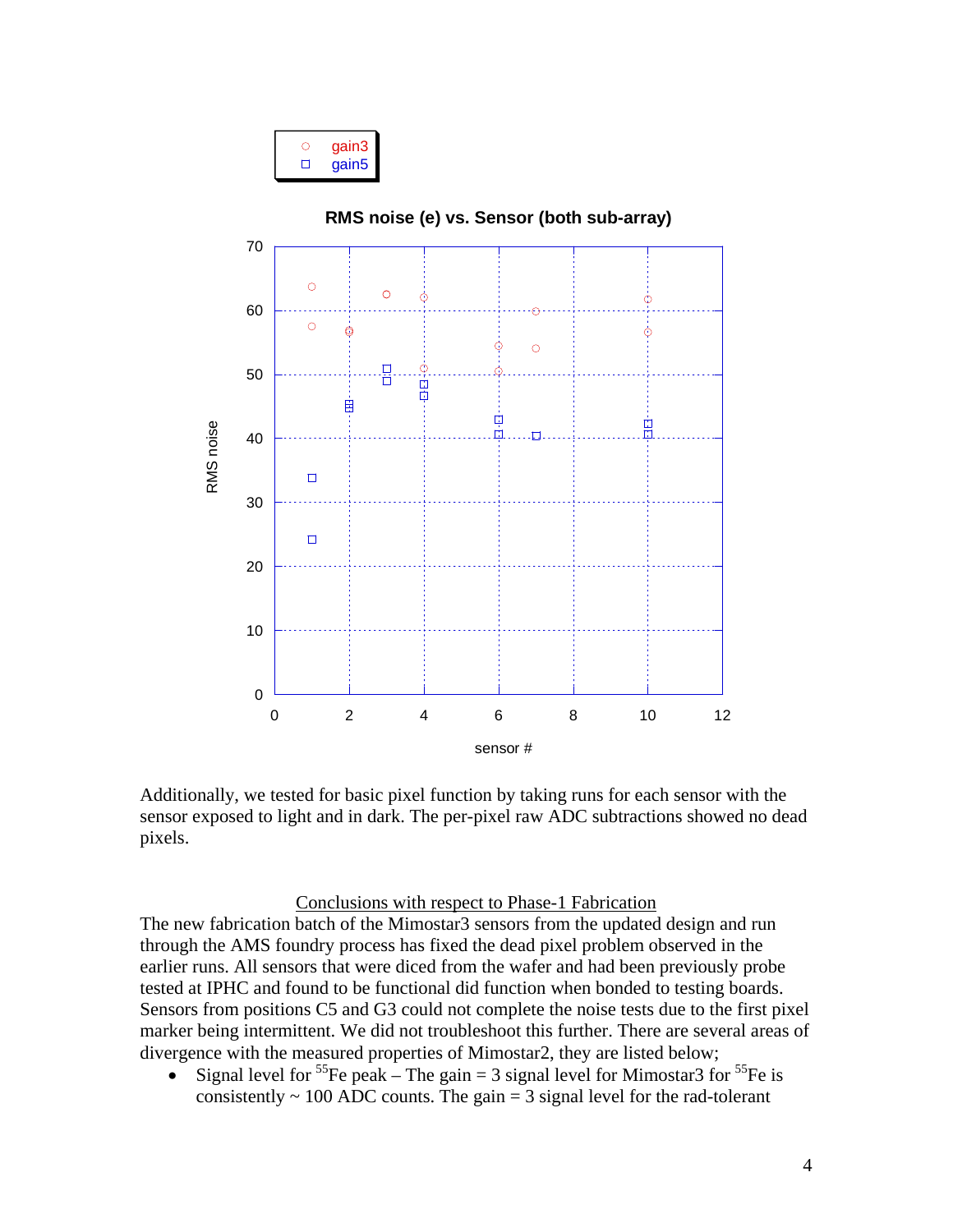|--|



Additionally, we tested for basic pixel function by taking runs for each sensor with the sensor exposed to light and in dark. The per-pixel raw ADC subtractions showed no dead pixels.

#### Conclusions with respect to Phase-1 Fabrication

The new fabrication batch of the Mimostar3 sensors from the updated design and run through the AMS foundry process has fixed the dead pixel problem observed in the earlier runs. All sensors that were diced from the wafer and had been previously probe tested at IPHC and found to be functional did function when bonded to testing boards. Sensors from positions C5 and G3 could not complete the noise tests due to the first pixel marker being intermittent. We did not troubleshoot this further. There are several areas of divergence with the measured properties of Mimostar2, they are listed below;

• Signal level for <sup>55</sup>Fe peak – The gain = 3 signal level for Mimostar3 for <sup>55</sup>Fe is consistently  $\sim 100$  ADC counts. The gain  $= 3$  signal level for the rad-tolerant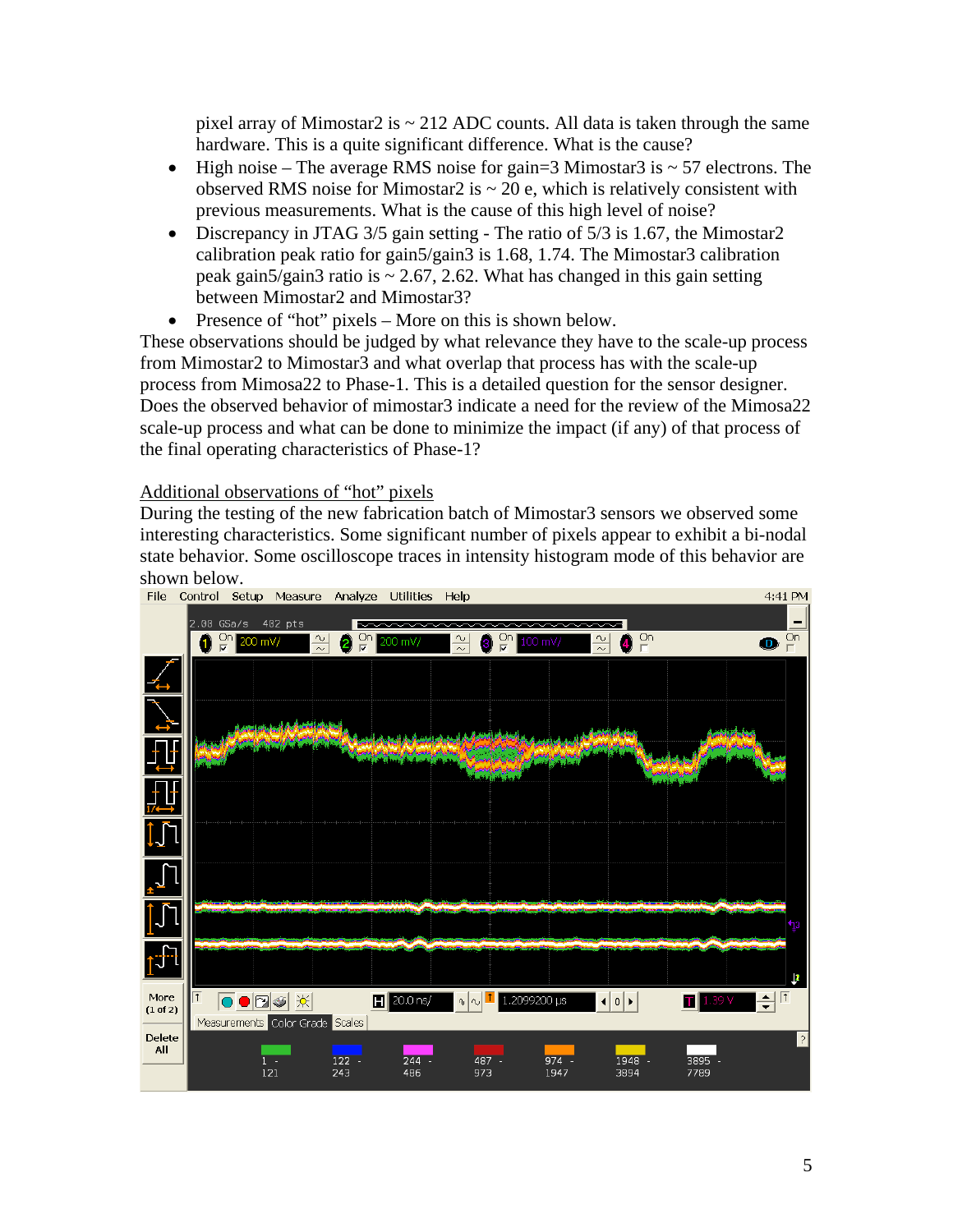pixel array of Mimostar2 is  $\sim$  212 ADC counts. All data is taken through the same hardware. This is a quite significant difference. What is the cause?

- High noise The average RMS noise for gain=3 Mimostar3 is  $\sim$  57 electrons. The observed RMS noise for Mimostar2 is  $\sim$  20 e, which is relatively consistent with previous measurements. What is the cause of this high level of noise?
- Discrepancy in JTAG 3/5 gain setting The ratio of 5/3 is 1.67, the Mimostar2 calibration peak ratio for gain5/gain3 is 1.68, 1.74. The Mimostar3 calibration peak gain5/gain3 ratio is  $\sim$  2.67, 2.62. What has changed in this gain setting between Mimostar2 and Mimostar3?
- Presence of "hot" pixels More on this is shown below.

These observations should be judged by what relevance they have to the scale-up process from Mimostar2 to Mimostar3 and what overlap that process has with the scale-up process from Mimosa22 to Phase-1. This is a detailed question for the sensor designer. Does the observed behavior of mimostar3 indicate a need for the review of the Mimosa22 scale-up process and what can be done to minimize the impact (if any) of that process of the final operating characteristics of Phase-1?

### Additional observations of "hot" pixels

During the testing of the new fabrication batch of Mimostar3 sensors we observed some interesting characteristics. Some significant number of pixels appear to exhibit a bi-nodal state behavior. Some oscilloscope traces in intensity histogram mode of this behavior are shown below.<br>File Control Setup Measure Analyze Utilities Help

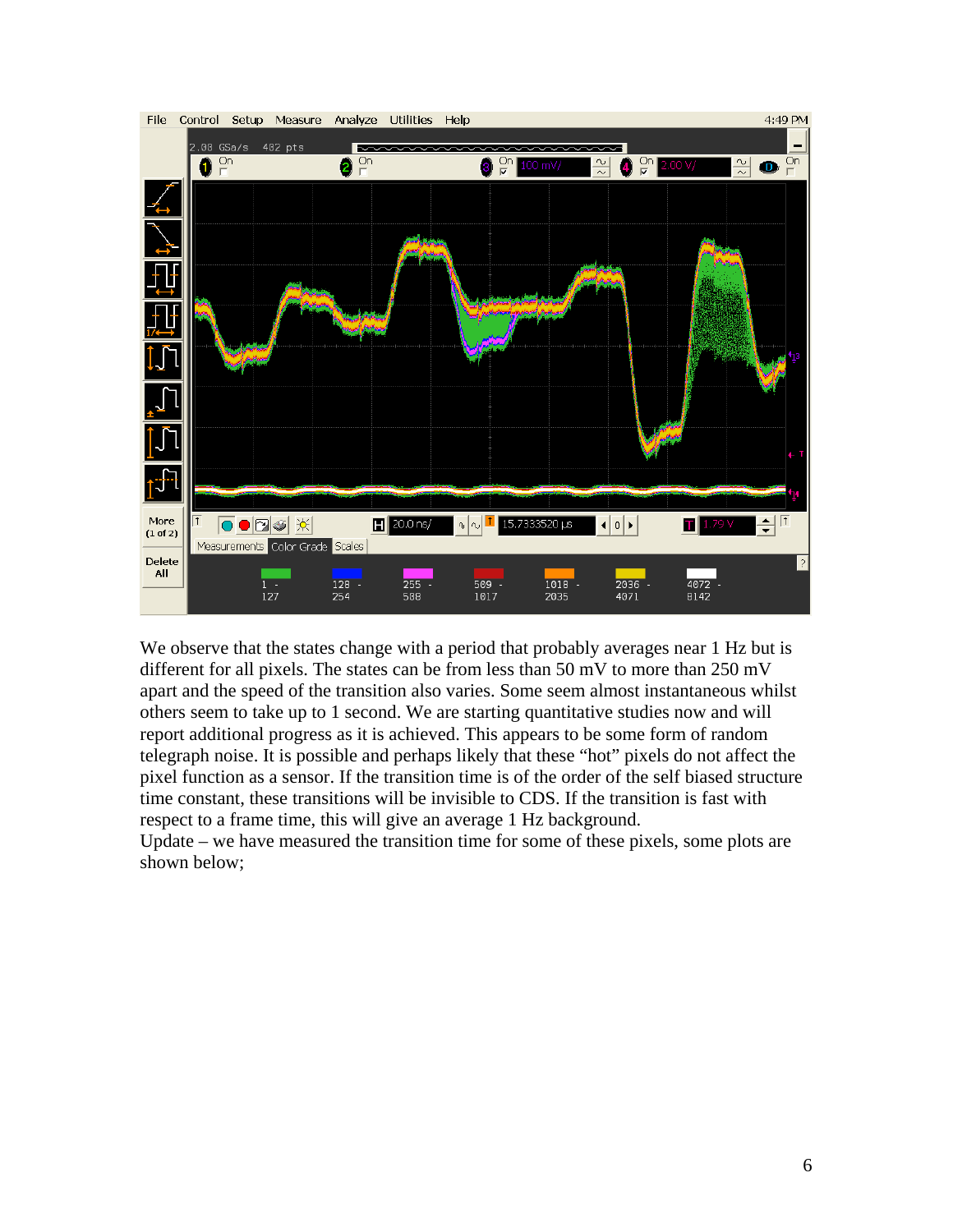

We observe that the states change with a period that probably averages near 1 Hz but is different for all pixels. The states can be from less than 50 mV to more than 250 mV apart and the speed of the transition also varies. Some seem almost instantaneous whilst others seem to take up to 1 second. We are starting quantitative studies now and will report additional progress as it is achieved. This appears to be some form of random telegraph noise. It is possible and perhaps likely that these "hot" pixels do not affect the pixel function as a sensor. If the transition time is of the order of the self biased structure time constant, these transitions will be invisible to CDS. If the transition is fast with respect to a frame time, this will give an average 1 Hz background. Update – we have measured the transition time for some of these pixels, some plots are shown below;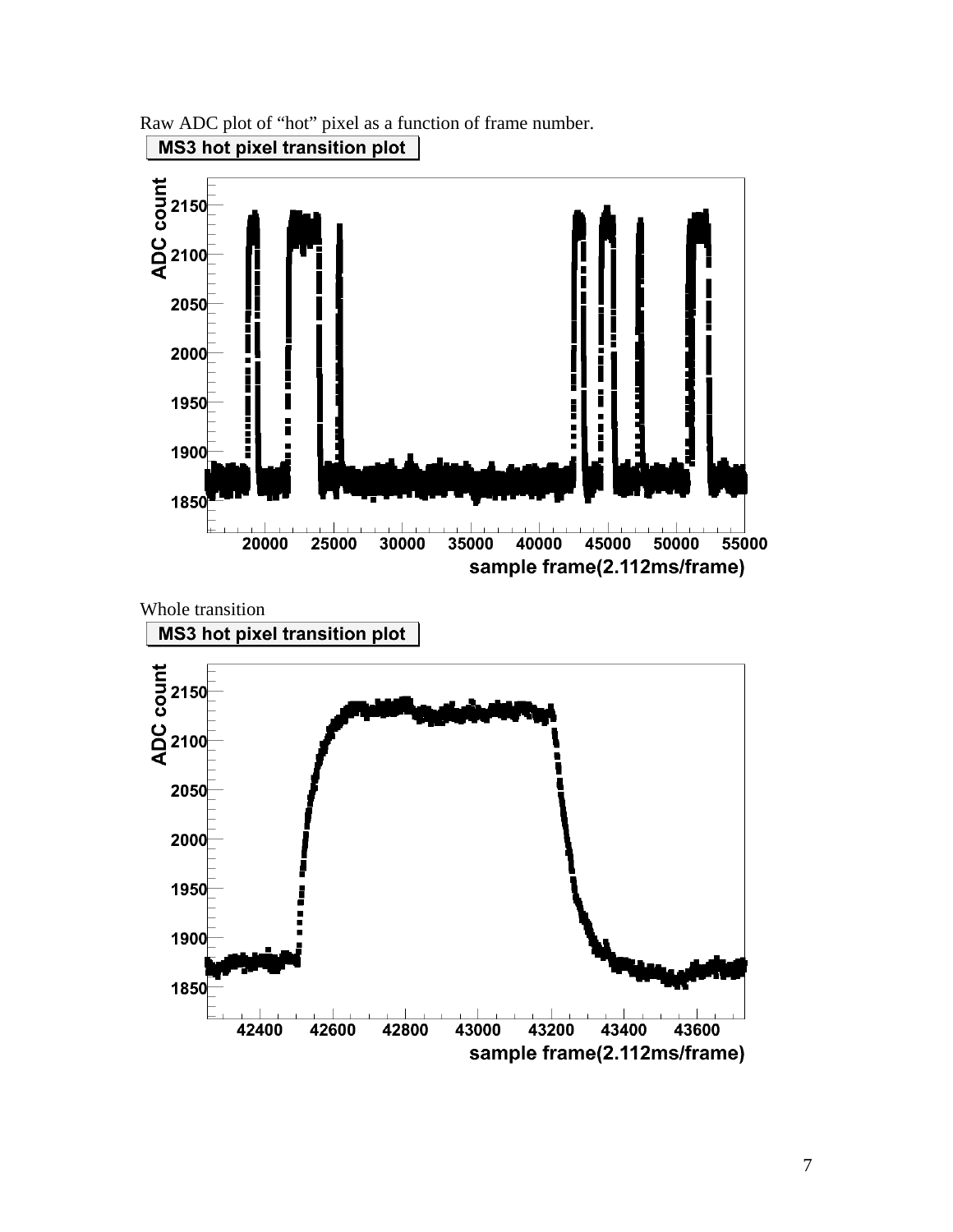Raw ADC plot of "hot" pixel as a function of frame number. **MS3 hot pixel transition plot** 

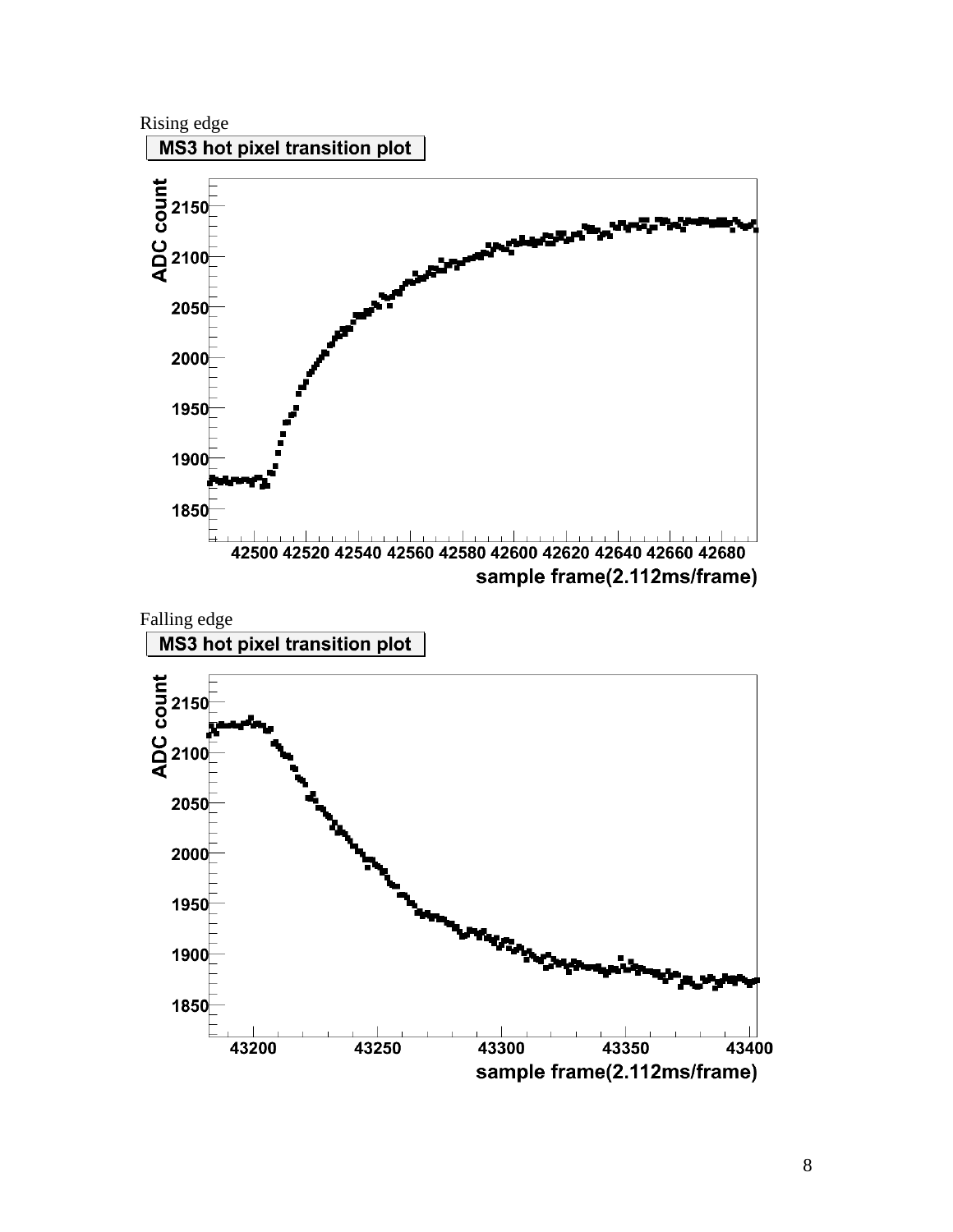

8